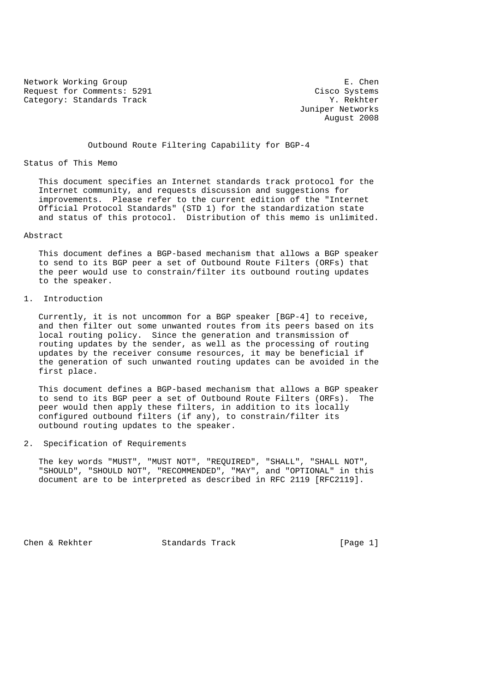Network Working Group **E. Chen** Request for Comments: 5291 Cisco Systems<br>
Category: Standards Track Category: Standards Track Category: Standards Track

 Juniper Networks August 2008

Outbound Route Filtering Capability for BGP-4

Status of This Memo

 This document specifies an Internet standards track protocol for the Internet community, and requests discussion and suggestions for improvements. Please refer to the current edition of the "Internet Official Protocol Standards" (STD 1) for the standardization state and status of this protocol. Distribution of this memo is unlimited.

## Abstract

 This document defines a BGP-based mechanism that allows a BGP speaker to send to its BGP peer a set of Outbound Route Filters (ORFs) that the peer would use to constrain/filter its outbound routing updates to the speaker.

1. Introduction

 Currently, it is not uncommon for a BGP speaker [BGP-4] to receive, and then filter out some unwanted routes from its peers based on its local routing policy. Since the generation and transmission of routing updates by the sender, as well as the processing of routing updates by the receiver consume resources, it may be beneficial if the generation of such unwanted routing updates can be avoided in the first place.

 This document defines a BGP-based mechanism that allows a BGP speaker to send to its BGP peer a set of Outbound Route Filters (ORFs). The peer would then apply these filters, in addition to its locally configured outbound filters (if any), to constrain/filter its outbound routing updates to the speaker.

2. Specification of Requirements

 The key words "MUST", "MUST NOT", "REQUIRED", "SHALL", "SHALL NOT", "SHOULD", "SHOULD NOT", "RECOMMENDED", "MAY", and "OPTIONAL" in this document are to be interpreted as described in RFC 2119 [RFC2119].

Chen & Rekhter Standards Track [Page 1]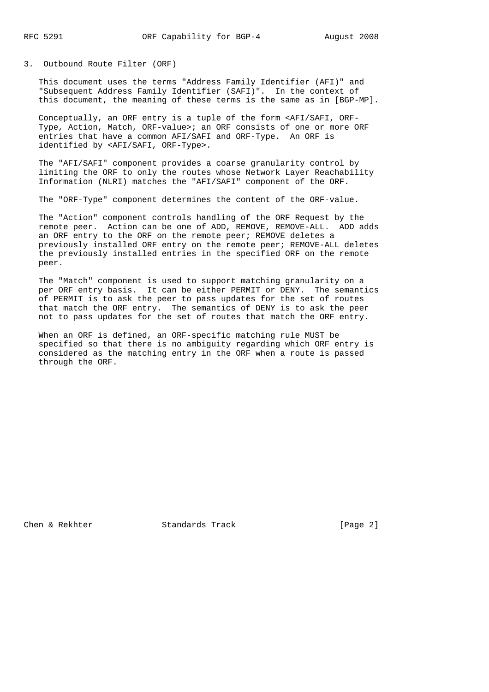3. Outbound Route Filter (ORF)

 This document uses the terms "Address Family Identifier (AFI)" and "Subsequent Address Family Identifier (SAFI)". In the context of this document, the meaning of these terms is the same as in [BGP-MP].

 Conceptually, an ORF entry is a tuple of the form <AFI/SAFI, ORF- Type, Action, Match, ORF-value>; an ORF consists of one or more ORF entries that have a common AFI/SAFI and ORF-Type. An ORF is identified by <AFI/SAFI, ORF-Type>.

 The "AFI/SAFI" component provides a coarse granularity control by limiting the ORF to only the routes whose Network Layer Reachability Information (NLRI) matches the "AFI/SAFI" component of the ORF.

The "ORF-Type" component determines the content of the ORF-value.

 The "Action" component controls handling of the ORF Request by the remote peer. Action can be one of ADD, REMOVE, REMOVE-ALL. ADD adds an ORF entry to the ORF on the remote peer; REMOVE deletes a previously installed ORF entry on the remote peer; REMOVE-ALL deletes the previously installed entries in the specified ORF on the remote peer.

 The "Match" component is used to support matching granularity on a per ORF entry basis. It can be either PERMIT or DENY. The semantics of PERMIT is to ask the peer to pass updates for the set of routes that match the ORF entry. The semantics of DENY is to ask the peer not to pass updates for the set of routes that match the ORF entry.

 When an ORF is defined, an ORF-specific matching rule MUST be specified so that there is no ambiguity regarding which ORF entry is considered as the matching entry in the ORF when a route is passed through the ORF.

Chen & Rekhter Standards Track [Page 2]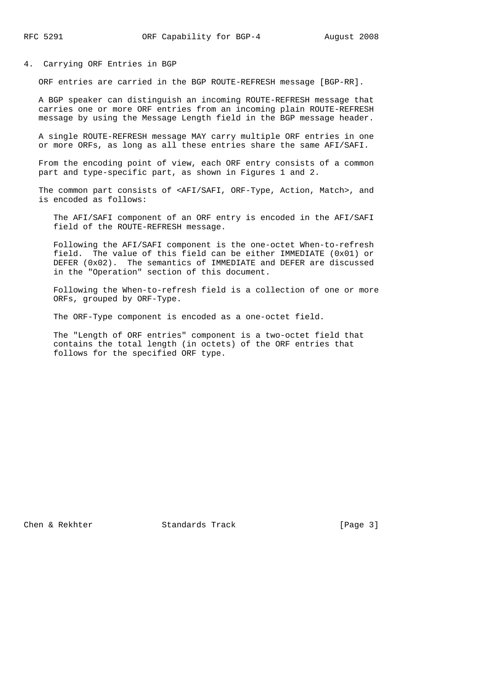## 4. Carrying ORF Entries in BGP

ORF entries are carried in the BGP ROUTE-REFRESH message [BGP-RR].

 A BGP speaker can distinguish an incoming ROUTE-REFRESH message that carries one or more ORF entries from an incoming plain ROUTE-REFRESH message by using the Message Length field in the BGP message header.

 A single ROUTE-REFRESH message MAY carry multiple ORF entries in one or more ORFs, as long as all these entries share the same AFI/SAFI.

 From the encoding point of view, each ORF entry consists of a common part and type-specific part, as shown in Figures 1 and 2.

 The common part consists of <AFI/SAFI, ORF-Type, Action, Match>, and is encoded as follows:

 The AFI/SAFI component of an ORF entry is encoded in the AFI/SAFI field of the ROUTE-REFRESH message.

 Following the AFI/SAFI component is the one-octet When-to-refresh field. The value of this field can be either IMMEDIATE (0x01) or DEFER  $(0x02)$ . The semantics of IMMEDIATE and DEFER are discussed in the "Operation" section of this document.

 Following the When-to-refresh field is a collection of one or more ORFs, grouped by ORF-Type.

The ORF-Type component is encoded as a one-octet field.

 The "Length of ORF entries" component is a two-octet field that contains the total length (in octets) of the ORF entries that follows for the specified ORF type.

Chen & Rekhter Standards Track [Page 3]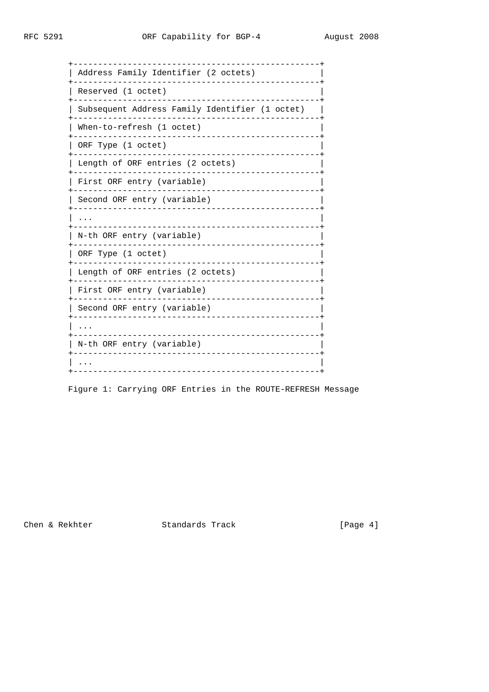| Address Family Identifier (2 octets)           |
|------------------------------------------------|
| Reserved (1 octet)                             |
| Subsequent Address Family Identifier (1 octet) |
| When-to-refresh (1 octet)                      |
| ORF Type (1 octet)                             |
| Length of ORF entries (2 octets)               |
| First ORF entry (variable)                     |
| Second ORF entry (variable)                    |
|                                                |
| N-th ORF entry (variable)                      |
| ORF Type (1 octet)                             |
| Length of ORF entries (2 octets)               |
| First ORF entry (variable)                     |
| Second ORF entry (variable)                    |
|                                                |
| N-th ORF entry (variable)                      |
|                                                |

Figure 1: Carrying ORF Entries in the ROUTE-REFRESH Message

Chen & Rekhter Standards Track

[Page 4]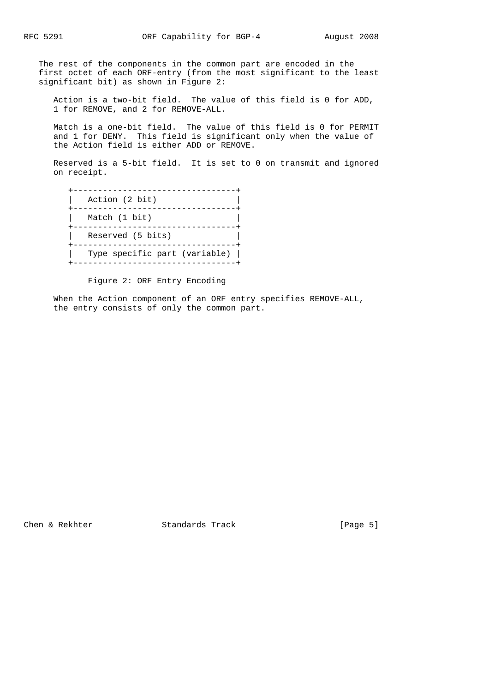The rest of the components in the common part are encoded in the first octet of each ORF-entry (from the most significant to the least significant bit) as shown in Figure 2:

 Action is a two-bit field. The value of this field is 0 for ADD, 1 for REMOVE, and 2 for REMOVE-ALL.

 Match is a one-bit field. The value of this field is 0 for PERMIT and 1 for DENY. This field is significant only when the value of the Action field is either ADD or REMOVE.

 Reserved is a 5-bit field. It is set to 0 on transmit and ignored on receipt.

 +---------------------------------+ | Action (2 bit) | +---------------------------------+ | Match (1 bit) +---------------------------------+ | Reserved (5 bits) | +---------------------------------+ | Type specific part (variable) | +---------------------------------+

Figure 2: ORF Entry Encoding

 When the Action component of an ORF entry specifies REMOVE-ALL, the entry consists of only the common part.

Chen & Rekhter Standards Track [Page 5]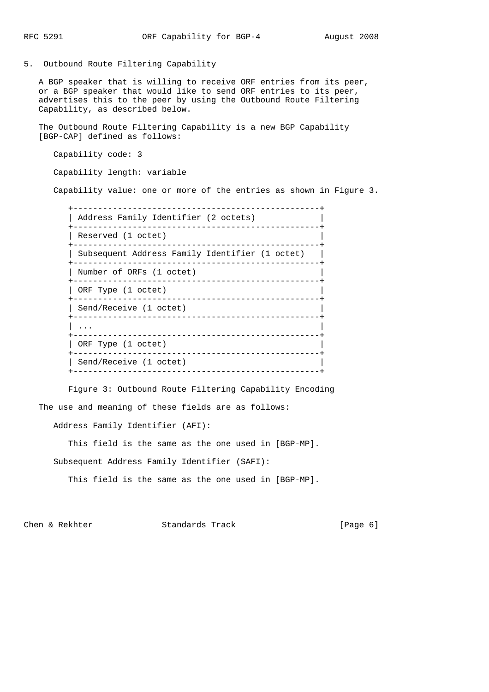5. Outbound Route Filtering Capability

 A BGP speaker that is willing to receive ORF entries from its peer, or a BGP speaker that would like to send ORF entries to its peer, advertises this to the peer by using the Outbound Route Filtering Capability, as described below.

 The Outbound Route Filtering Capability is a new BGP Capability [BGP-CAP] defined as follows:

Capability code: 3

Capability length: variable

Capability value: one or more of the entries as shown in Figure 3.

| Address Family Identifier (2 octets)           |
|------------------------------------------------|
| Reserved (1 octet)                             |
| Subsequent Address Family Identifier (1 octet) |
| Number of ORFs (1 octet)                       |
| ORF Type (1 octet)                             |
| Send/Receive (1 octet)                         |
|                                                |
| ORF Type (1 octet)                             |
| Send/Receive (1 octet)                         |
|                                                |

 Figure 3: Outbound Route Filtering Capability Encoding The use and meaning of these fields are as follows:

Address Family Identifier (AFI):

This field is the same as the one used in [BGP-MP].

Subsequent Address Family Identifier (SAFI):

This field is the same as the one used in [BGP-MP].

Chen & Rekhter Standards Track [Page 6]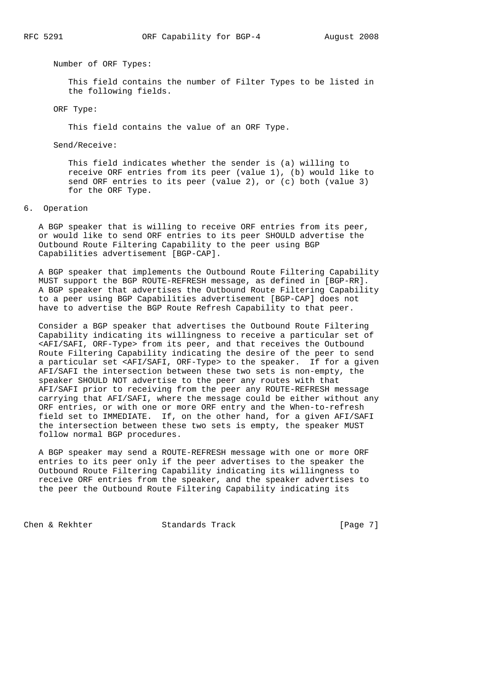Number of ORF Types:

 This field contains the number of Filter Types to be listed in the following fields.

ORF Type:

This field contains the value of an ORF Type.

Send/Receive:

 This field indicates whether the sender is (a) willing to receive ORF entries from its peer (value 1), (b) would like to send ORF entries to its peer (value 2), or (c) both (value 3) for the ORF Type.

## 6. Operation

 A BGP speaker that is willing to receive ORF entries from its peer, or would like to send ORF entries to its peer SHOULD advertise the Outbound Route Filtering Capability to the peer using BGP Capabilities advertisement [BGP-CAP].

 A BGP speaker that implements the Outbound Route Filtering Capability MUST support the BGP ROUTE-REFRESH message, as defined in [BGP-RR]. A BGP speaker that advertises the Outbound Route Filtering Capability to a peer using BGP Capabilities advertisement [BGP-CAP] does not have to advertise the BGP Route Refresh Capability to that peer.

 Consider a BGP speaker that advertises the Outbound Route Filtering Capability indicating its willingness to receive a particular set of <AFI/SAFI, ORF-Type> from its peer, and that receives the Outbound Route Filtering Capability indicating the desire of the peer to send a particular set <AFI/SAFI, ORF-Type> to the speaker. If for a given AFI/SAFI the intersection between these two sets is non-empty, the speaker SHOULD NOT advertise to the peer any routes with that AFI/SAFI prior to receiving from the peer any ROUTE-REFRESH message carrying that AFI/SAFI, where the message could be either without any ORF entries, or with one or more ORF entry and the When-to-refresh field set to IMMEDIATE. If, on the other hand, for a given AFI/SAFI the intersection between these two sets is empty, the speaker MUST follow normal BGP procedures.

 A BGP speaker may send a ROUTE-REFRESH message with one or more ORF entries to its peer only if the peer advertises to the speaker the Outbound Route Filtering Capability indicating its willingness to receive ORF entries from the speaker, and the speaker advertises to the peer the Outbound Route Filtering Capability indicating its

Chen & Rekhter Standards Track [Page 7]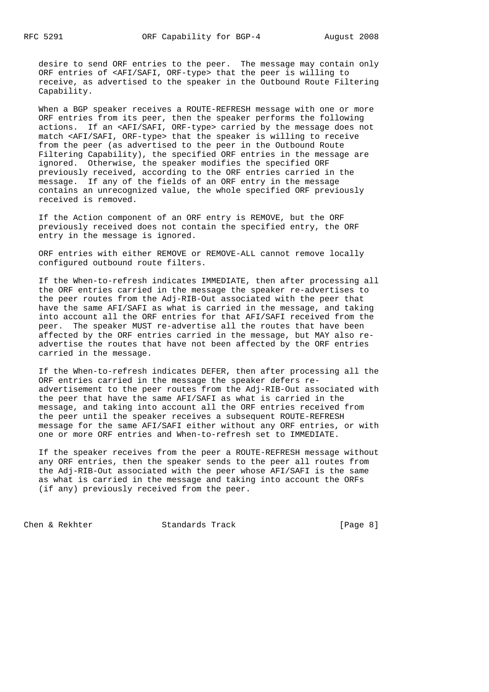desire to send ORF entries to the peer. The message may contain only ORF entries of <AFI/SAFI, ORF-type> that the peer is willing to receive, as advertised to the speaker in the Outbound Route Filtering Capability.

 When a BGP speaker receives a ROUTE-REFRESH message with one or more ORF entries from its peer, then the speaker performs the following actions. If an <AFI/SAFI, ORF-type> carried by the message does not match <AFI/SAFI, ORF-type> that the speaker is willing to receive from the peer (as advertised to the peer in the Outbound Route Filtering Capability), the specified ORF entries in the message are ignored. Otherwise, the speaker modifies the specified ORF previously received, according to the ORF entries carried in the message. If any of the fields of an ORF entry in the message contains an unrecognized value, the whole specified ORF previously received is removed.

 If the Action component of an ORF entry is REMOVE, but the ORF previously received does not contain the specified entry, the ORF entry in the message is ignored.

 ORF entries with either REMOVE or REMOVE-ALL cannot remove locally configured outbound route filters.

 If the When-to-refresh indicates IMMEDIATE, then after processing all the ORF entries carried in the message the speaker re-advertises to the peer routes from the Adj-RIB-Out associated with the peer that have the same AFI/SAFI as what is carried in the message, and taking into account all the ORF entries for that AFI/SAFI received from the peer. The speaker MUST re-advertise all the routes that have been affected by the ORF entries carried in the message, but MAY also re advertise the routes that have not been affected by the ORF entries carried in the message.

 If the When-to-refresh indicates DEFER, then after processing all the ORF entries carried in the message the speaker defers re advertisement to the peer routes from the Adj-RIB-Out associated with the peer that have the same AFI/SAFI as what is carried in the message, and taking into account all the ORF entries received from the peer until the speaker receives a subsequent ROUTE-REFRESH message for the same AFI/SAFI either without any ORF entries, or with one or more ORF entries and When-to-refresh set to IMMEDIATE.

 If the speaker receives from the peer a ROUTE-REFRESH message without any ORF entries, then the speaker sends to the peer all routes from the Adj-RIB-Out associated with the peer whose AFI/SAFI is the same as what is carried in the message and taking into account the ORFs (if any) previously received from the peer.

Chen & Rekhter Standards Track [Page 8]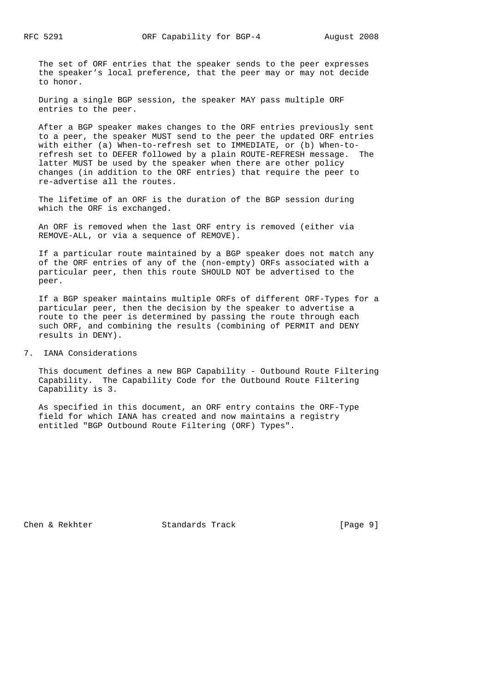The set of ORF entries that the speaker sends to the peer expresses the speaker's local preference, that the peer may or may not decide to honor.

 During a single BGP session, the speaker MAY pass multiple ORF entries to the peer.

 After a BGP speaker makes changes to the ORF entries previously sent to a peer, the speaker MUST send to the peer the updated ORF entries with either (a) When-to-refresh set to IMMEDIATE, or (b) When-to refresh set to DEFER followed by a plain ROUTE-REFRESH message. The latter MUST be used by the speaker when there are other policy changes (in addition to the ORF entries) that require the peer to re-advertise all the routes.

 The lifetime of an ORF is the duration of the BGP session during which the ORF is exchanged.

 An ORF is removed when the last ORF entry is removed (either via REMOVE-ALL, or via a sequence of REMOVE).

 If a particular route maintained by a BGP speaker does not match any of the ORF entries of any of the (non-empty) ORFs associated with a particular peer, then this route SHOULD NOT be advertised to the peer.

 If a BGP speaker maintains multiple ORFs of different ORF-Types for a particular peer, then the decision by the speaker to advertise a route to the peer is determined by passing the route through each such ORF, and combining the results (combining of PERMIT and DENY results in DENY).

7. IANA Considerations

 This document defines a new BGP Capability - Outbound Route Filtering Capability. The Capability Code for the Outbound Route Filtering Capability is 3.

 As specified in this document, an ORF entry contains the ORF-Type field for which IANA has created and now maintains a registry entitled "BGP Outbound Route Filtering (ORF) Types".

Chen & Rekhter Standards Track [Page 9]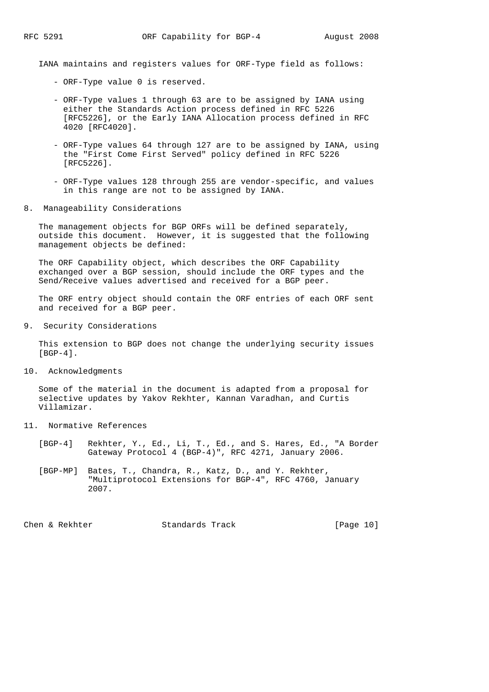IANA maintains and registers values for ORF-Type field as follows:

- ORF-Type value 0 is reserved.
- ORF-Type values 1 through 63 are to be assigned by IANA using either the Standards Action process defined in RFC 5226 [RFC5226], or the Early IANA Allocation process defined in RFC 4020 [RFC4020].
- ORF-Type values 64 through 127 are to be assigned by IANA, using the "First Come First Served" policy defined in RFC 5226 [RFC5226].
- ORF-Type values 128 through 255 are vendor-specific, and values in this range are not to be assigned by IANA.
- 8. Manageability Considerations

 The management objects for BGP ORFs will be defined separately, outside this document. However, it is suggested that the following management objects be defined:

 The ORF Capability object, which describes the ORF Capability exchanged over a BGP session, should include the ORF types and the Send/Receive values advertised and received for a BGP peer.

 The ORF entry object should contain the ORF entries of each ORF sent and received for a BGP peer.

9. Security Considerations

 This extension to BGP does not change the underlying security issues [BGP-4].

10. Acknowledgments

 Some of the material in the document is adapted from a proposal for selective updates by Yakov Rekhter, Kannan Varadhan, and Curtis Villamizar.

- 11. Normative References
	- [BGP-4] Rekhter, Y., Ed., Li, T., Ed., and S. Hares, Ed., "A Border Gateway Protocol 4 (BGP-4)", RFC 4271, January 2006.
	- [BGP-MP] Bates, T., Chandra, R., Katz, D., and Y. Rekhter, "Multiprotocol Extensions for BGP-4", RFC 4760, January 2007.

Chen & Rekhter Standards Track [Page 10]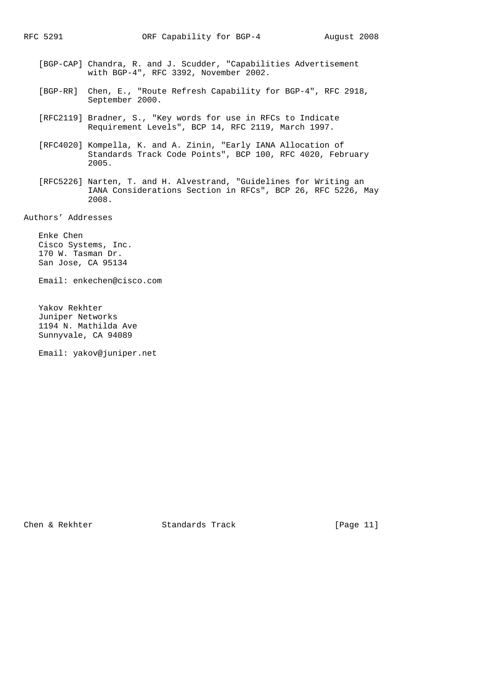- [BGP-CAP] Chandra, R. and J. Scudder, "Capabilities Advertisement with BGP-4", RFC 3392, November 2002.
- [BGP-RR] Chen, E., "Route Refresh Capability for BGP-4", RFC 2918, September 2000.
- [RFC2119] Bradner, S., "Key words for use in RFCs to Indicate Requirement Levels", BCP 14, RFC 2119, March 1997.
- [RFC4020] Kompella, K. and A. Zinin, "Early IANA Allocation of Standards Track Code Points", BCP 100, RFC 4020, February 2005.
- [RFC5226] Narten, T. and H. Alvestrand, "Guidelines for Writing an IANA Considerations Section in RFCs", BCP 26, RFC 5226, May 2008.

Authors' Addresses

 Enke Chen Cisco Systems, Inc. 170 W. Tasman Dr. San Jose, CA 95134

Email: enkechen@cisco.com

 Yakov Rekhter Juniper Networks 1194 N. Mathilda Ave Sunnyvale, CA 94089

Email: yakov@juniper.net

Chen & Rekhter Standards Track [Page 11]